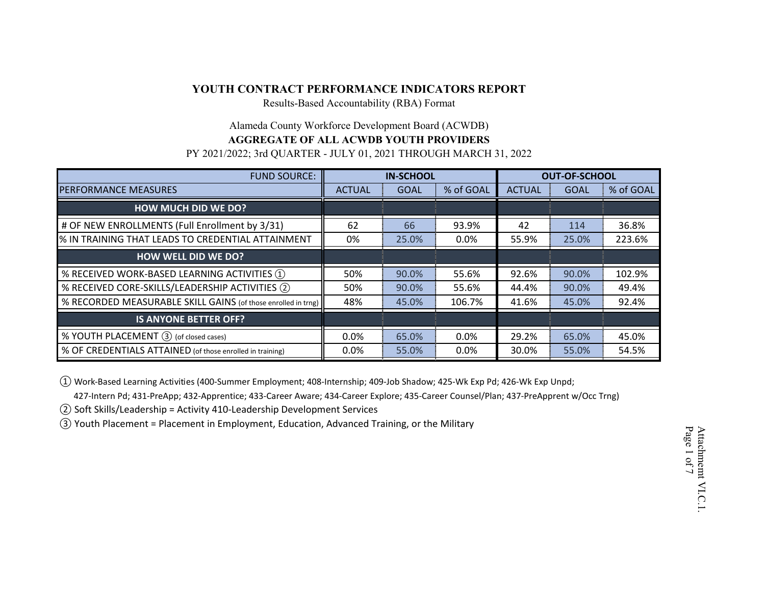Results-Based Accountability (RBA) Format

#### Alameda County Workforce Development Board (ACWDB)

#### **AGGREGATE OF ALL ACWDB YOUTH PROVIDERS**

PY 2021/2022; 3rd QUARTER - JULY 01, 2021 THROUGH MARCH 31, 2022

| <b>FUND SOURCE:</b>                                           | <b>IN-SCHOOL</b> |             | <b>OUT-OF-SCHOOL</b> |               |             |           |
|---------------------------------------------------------------|------------------|-------------|----------------------|---------------|-------------|-----------|
| <b>PERFORMANCE MEASURES</b>                                   | <b>ACTUAL</b>    | <b>GOAL</b> | % of GOAL            | <b>ACTUAL</b> | <b>GOAL</b> | % of GOAL |
| <b>HOW MUCH DID WE DO?</b>                                    |                  |             |                      |               |             |           |
| # OF NEW ENROLLMENTS (Full Enrollment by 3/31)                | 62               | 66          | 93.9%                | 42            | 114         | 36.8%     |
| % IN TRAINING THAT LEADS TO CREDENTIAL ATTAINMENT             | 0%               | 25.0%       | $0.0\%$              | 55.9%         | 25.0%       | 223.6%    |
| <b>HOW WELL DID WE DO?</b>                                    |                  |             |                      |               |             |           |
| % RECEIVED WORK-BASED LEARNING ACTIVITIES 1                   | 50%              | 90.0%       | 55.6%                | 92.6%         | 90.0%       | 102.9%    |
| % RECEIVED CORE-SKILLS/LEADERSHIP ACTIVITIES (2)              | 50%              | 90.0%       | 55.6%                | 44.4%         | 90.0%       | 49.4%     |
| % RECORDED MEASURABLE SKILL GAINS (of those enrolled in trng) | 48%              | 45.0%       | 106.7%               | 41.6%         | 45.0%       | 92.4%     |
| <b>IS ANYONE BETTER OFF?</b>                                  |                  |             |                      |               |             |           |
| % YOUTH PLACEMENT 3 (of closed cases)                         | 0.0%             | 65.0%       | 0.0%                 | 29.2%         | 65.0%       | 45.0%     |
| % OF CREDENTIALS ATTAINED (of those enrolled in training)     | $0.0\%$          | 55.0%       | $0.0\%$              | 30.0%         | 55.0%       | 54.5%     |

① Work-Based Learning Activities (400-Summer Employment; 408-Internship; 409-Job Shadow; 425-Wk Exp Pd; 426-Wk Exp Unpd;

427-Intern Pd; 431-PreApp; 432-Apprentice; 433-Career Aware; 434-Career Explore; 435-Career Counsel/Plan; 437-PreApprent w/Occ Trng)

② Soft Skills/Leadership = Activity 410-Leadership Development Services

③ Youth Placement = Placement in Employment, Education, Advanced Training, or the Military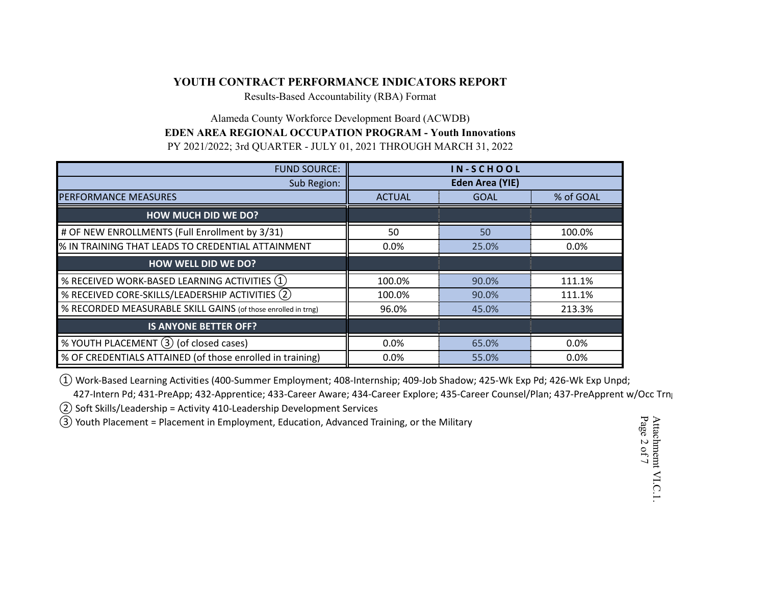Results-Based Accountability (RBA) Format

# Alameda County Workforce Development Board (ACWDB) **EDEN AREA REGIONAL OCCUPATION PROGRAM - Youth Innovations** PY 2021/2022; 3rd QUARTER - JULY 01, 2021 THROUGH MARCH 31, 2022

| <b>FUND SOURCE:</b>                                           | IN-SCHOOL              |             |           |
|---------------------------------------------------------------|------------------------|-------------|-----------|
| Sub Region:                                                   | <b>Eden Area (YIE)</b> |             |           |
| <b>PERFORMANCE MEASURES</b>                                   | <b>ACTUAL</b>          | <b>GOAL</b> | % of GOAL |
| <b>HOW MUCH DID WE DO?</b>                                    |                        |             |           |
| # OF NEW ENROLLMENTS (Full Enrollment by 3/31)                | 50                     | 50          | 100.0%    |
| % IN TRAINING THAT LEADS TO CREDENTIAL ATTAINMENT             | $0.0\%$                | 25.0%       | 0.0%      |
| <b>HOW WELL DID WE DO?</b>                                    |                        |             |           |
| % RECEIVED WORK-BASED LEARNING ACTIVITIES (1)                 | 100.0%                 | 90.0%       | 111.1%    |
| % RECEIVED CORE-SKILLS/LEADERSHIP ACTIVITIES (2)              | 100.0%                 | 90.0%       | 111.1%    |
| % RECORDED MEASURABLE SKILL GAINS (of those enrolled in trng) | 96.0%                  | 45.0%       | 213.3%    |
| <b>IS ANYONE BETTER OFF?</b>                                  |                        |             |           |
| % YOUTH PLACEMENT (3) (of closed cases)                       | 0.0%                   | 65.0%       | 0.0%      |
| % OF CREDENTIALS ATTAINED (of those enrolled in training)     | $0.0\%$                | 55.0%       | 0.0%      |

① Work-Based Learning Activities (400-Summer Employment; 408-Internship; 409-Job Shadow; 425-Wk Exp Pd; 426-Wk Exp Unpd;

427-Intern Pd; 431-PreApp; 432-Apprentice; 433-Career Aware; 434-Career Explore; 435-Career Counsel/Plan; 437-PreApprent w/Occ Trng

② Soft Skills/Leadership = Activity 410-Leadership Development Services

③ Youth Placement = Placement in Employment, Education, Advanced Training, or the Military

Attachmemt VI.C.1. Page 2 of 7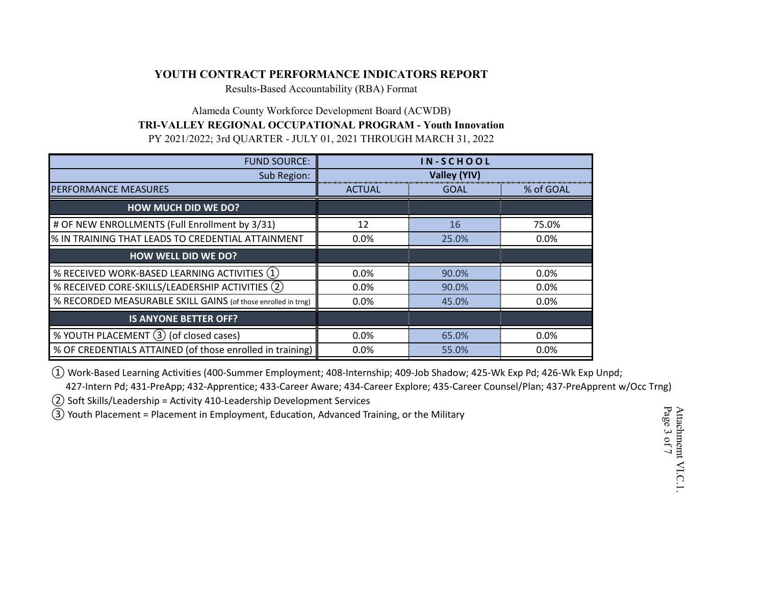Results-Based Accountability (RBA) Format

Alameda County Workforce Development Board (ACWDB) **TRI-VALLEY REGIONAL OCCUPATIONAL PROGRAM - Youth Innovation** PY 2021/2022; 3rd QUARTER - JULY 01, 2021 THROUGH MARCH 31, 2022

| <b>FUND SOURCE:</b>                                           | IN-SCHOOL           |             |           |
|---------------------------------------------------------------|---------------------|-------------|-----------|
| Sub Region:                                                   | <b>Valley (YIV)</b> |             |           |
| <b>PERFORMANCE MEASURES</b>                                   | <b>ACTUAL</b>       | <b>GOAL</b> | % of GOAL |
| <b>HOW MUCH DID WE DO?</b>                                    |                     |             |           |
| # OF NEW ENROLLMENTS (Full Enrollment by 3/31)                | 12                  | 16          | 75.0%     |
| % IN TRAINING THAT LEADS TO CREDENTIAL ATTAINMENT             | $0.0\%$             | 25.0%       | 0.0%      |
| <b>HOW WELL DID WE DO?</b>                                    |                     |             |           |
| % RECEIVED WORK-BASED LEARNING ACTIVITIES (1)                 | 0.0%                | 90.0%       | 0.0%      |
| % RECEIVED CORE-SKILLS/LEADERSHIP ACTIVITIES (2)              | 0.0%                | 90.0%       | 0.0%      |
| % RECORDED MEASURABLE SKILL GAINS (of those enrolled in trng) | $0.0\%$             | 45.0%       | $0.0\%$   |
| <b>IS ANYONE BETTER OFF?</b>                                  |                     |             |           |
| % YOUTH PLACEMENT (3) (of closed cases)                       | 0.0%                | 65.0%       | 0.0%      |
| % OF CREDENTIALS ATTAINED (of those enrolled in training)     | 0.0%                | 55.0%       | 0.0%      |

① Work-Based Learning Activities (400-Summer Employment; 408-Internship; 409-Job Shadow; 425-Wk Exp Pd; 426-Wk Exp Unpd;

 427-Intern Pd; 431-PreApp; 432-Apprentice; 433-Career Aware; 434-Career Explore; 435-Career Counsel/Plan; 437-PreApprent w/Occ Trng) ② Soft Skills/Leadership = Activity 410-Leadership Development Services

③ Youth Placement = Placement in Employment, Education, Advanced Training, or the Military

Attachmemt VI.C.1. Page 3 of 7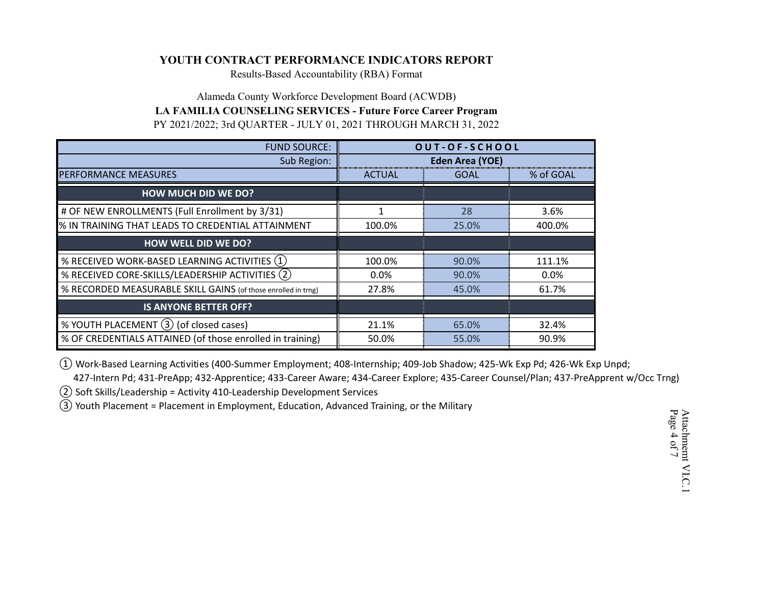Results-Based Accountability (RBA) Format

# Alameda County Workforce Development Board (ACWDB) **LA FAMILIA COUNSELING SERVICES - Future Force Career Program** PY 2021/2022; 3rd QUARTER - JULY 01, 2021 THROUGH MARCH 31, 2022

| <b>FUND SOURCE:</b>                                           | OUT-OF-SCHOOL          |             |           |  |
|---------------------------------------------------------------|------------------------|-------------|-----------|--|
| Sub Region:                                                   | <b>Eden Area (YOE)</b> |             |           |  |
| <b>PERFORMANCE MEASURES</b>                                   | <b>ACTUAL</b>          | <b>GOAL</b> | % of GOAL |  |
| <b>HOW MUCH DID WE DO?</b>                                    |                        |             |           |  |
| # OF NEW ENROLLMENTS (Full Enrollment by 3/31)                |                        | 28          | 3.6%      |  |
| % IN TRAINING THAT LEADS TO CREDENTIAL ATTAINMENT             | 100.0%                 | 25.0%       | 400.0%    |  |
| <b>HOW WELL DID WE DO?</b>                                    |                        |             |           |  |
| % RECEIVED WORK-BASED LEARNING ACTIVITIES $(1)$               | 100.0%                 | 90.0%       | 111.1%    |  |
| % RECEIVED CORE-SKILLS/LEADERSHIP ACTIVITIES (2)              | $0.0\%$                | 90.0%       | $0.0\%$   |  |
| % RECORDED MEASURABLE SKILL GAINS (of those enrolled in trng) | 27.8%                  | 45.0%       | 61.7%     |  |
| <b>IS ANYONE BETTER OFF?</b>                                  |                        |             |           |  |
| % YOUTH PLACEMENT (3) (of closed cases)                       | 21.1%                  | 65.0%       | 32.4%     |  |
| % OF CREDENTIALS ATTAINED (of those enrolled in training)     | 50.0%                  | 55.0%       | 90.9%     |  |

① Work-Based Learning Activities (400-Summer Employment; 408-Internship; 409-Job Shadow; 425-Wk Exp Pd; 426-Wk Exp Unpd;

427-Intern Pd; 431-PreApp; 432-Apprentice; 433-Career Aware; 434-Career Explore; 435-Career Counsel/Plan; 437-PreApprent w/Occ Trng)

② Soft Skills/Leadership = Activity 410-Leadership Development Services

③ Youth Placement = Placement in Employment, Education, Advanced Training, or the Military

Attachmemt VI.C.1 Page 4 of 7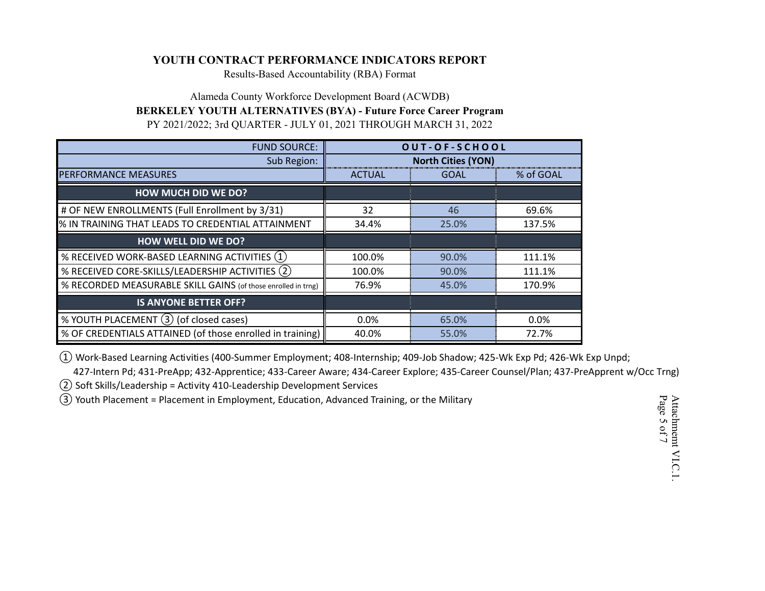Results-Based Accountability (RBA) Format

Alameda County Workforce Development Board (ACWDB) **BERKELEY YOUTH ALTERNATIVES (BYA) - Future Force Career Program** PY 2021/2022; 3rd QUARTER - JULY 01, 2021 THROUGH MARCH 31, 2022

| <b>FUND SOURCE:</b>                                           | OUT-OF-SCHOOL             |             |           |
|---------------------------------------------------------------|---------------------------|-------------|-----------|
| Sub Region:                                                   | <b>North Cities (YON)</b> |             |           |
| <b>PERFORMANCE MEASURES</b>                                   | <b>ACTUAL</b>             | <b>GOAL</b> | % of GOAL |
| <b>HOW MUCH DID WE DO?</b>                                    |                           |             |           |
| # OF NEW ENROLLMENTS (Full Enrollment by 3/31)                | 32                        | 46          | 69.6%     |
| % IN TRAINING THAT LEADS TO CREDENTIAL ATTAINMENT             | 34.4%                     | 25.0%       | 137.5%    |
| <b>HOW WELL DID WE DO?</b>                                    |                           |             |           |
| % RECEIVED WORK-BASED LEARNING ACTIVITIES (1)                 | 100.0%                    | 90.0%       | 111.1%    |
| % RECEIVED CORE-SKILLS/LEADERSHIP ACTIVITIES (2)              | 100.0%                    | 90.0%       | 111.1%    |
| % RECORDED MEASURABLE SKILL GAINS (of those enrolled in trng) | 76.9%                     | 45.0%       | 170.9%    |
| <b>IS ANYONE BETTER OFF?</b>                                  |                           |             |           |
| % YOUTH PLACEMENT (3) (of closed cases)                       | 0.0%                      | 65.0%       | 0.0%      |
| % OF CREDENTIALS ATTAINED (of those enrolled in training)     | 40.0%                     | 55.0%       | 72.7%     |

① Work-Based Learning Activities (400-Summer Employment; 408-Internship; 409-Job Shadow; 425-Wk Exp Pd; 426-Wk Exp Unpd;

427-Intern Pd; 431-PreApp; 432-Apprentice; 433-Career Aware; 434-Career Explore; 435-Career Counsel/Plan; 437-PreApprent w/Occ Trng)

② Soft Skills/Leadership = Activity 410-Leadership Development Services

③ Youth Placement = Placement in Employment, Education, Advanced Training, or the Military

Attachmemt VI.C.1. Page 5 of 7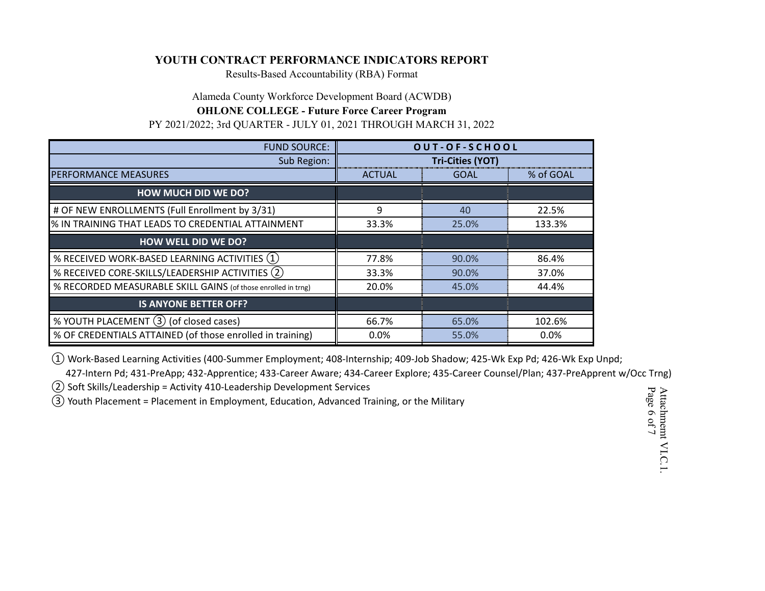Results-Based Accountability (RBA) Format

Alameda County Workforce Development Board (ACWDB)

#### **OHLONE COLLEGE - Future Force Career Program**

PY 2021/2022; 3rd QUARTER - JULY 01, 2021 THROUGH MARCH 31, 2022

| <b>FUND SOURCE:</b>                                           | OUT-OF-SCHOOL           |             |           |
|---------------------------------------------------------------|-------------------------|-------------|-----------|
| Sub Region:                                                   | <b>Tri-Cities (YOT)</b> |             |           |
| PERFORMANCE MEASURES                                          | <b>ACTUAL</b>           | <b>GOAL</b> | % of GOAL |
| <b>HOW MUCH DID WE DO?</b>                                    |                         |             |           |
| # OF NEW ENROLLMENTS (Full Enrollment by 3/31)                | 9                       | 40          | 22.5%     |
| % IN TRAINING THAT LEADS TO CREDENTIAL ATTAINMENT             | 33.3%                   | 25.0%       | 133.3%    |
| <b>HOW WELL DID WE DO?</b>                                    |                         |             |           |
| % RECEIVED WORK-BASED LEARNING ACTIVITIES $(1)$               | 77.8%                   | 90.0%       | 86.4%     |
| % RECEIVED CORE-SKILLS/LEADERSHIP ACTIVITIES (2)              | 33.3%                   | 90.0%       | 37.0%     |
| % RECORDED MEASURABLE SKILL GAINS (of those enrolled in trng) | 20.0%                   | 45.0%       | 44.4%     |
| <b>IS ANYONE BETTER OFF?</b>                                  |                         |             |           |
| % YOUTH PLACEMENT (3) (of closed cases)                       | 66.7%                   | 65.0%       | 102.6%    |
| % OF CREDENTIALS ATTAINED (of those enrolled in training)     | 0.0%                    | 55.0%       | $0.0\%$   |

① Work-Based Learning Activities (400-Summer Employment; 408-Internship; 409-Job Shadow; 425-Wk Exp Pd; 426-Wk Exp Unpd;

427-Intern Pd; 431-PreApp; 432-Apprentice; 433-Career Aware; 434-Career Explore; 435-Career Counsel/Plan; 437-PreApprent w/Occ Trng)

② Soft Skills/Leadership = Activity 410-Leadership Development Services

③ Youth Placement = Placement in Employment, Education, Advanced Training, or the Military